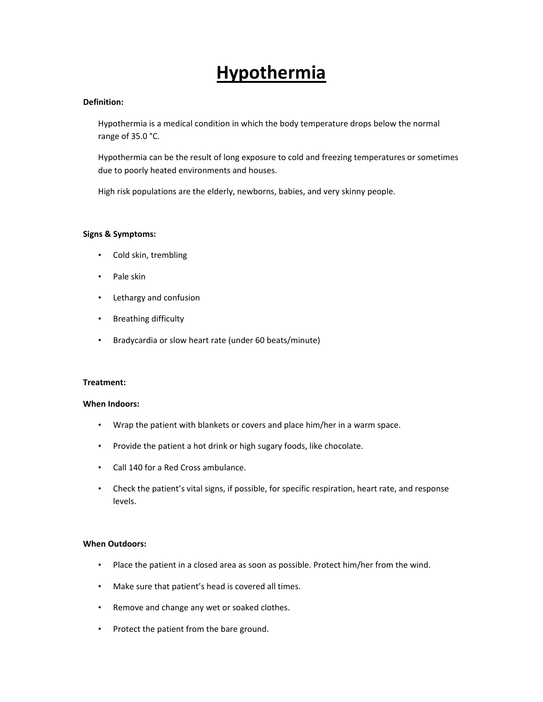# **Hypothermia**

## **Definition:**

Hypothermia is a medical condition in which the body temperature drops below the normal range of 35.0 °C.

Hypothermia can be the result of long exposure to cold and freezing temperatures or sometimes due to poorly heated environments and houses.

High risk populations are the elderly, newborns, babies, and very skinny people.

### **Signs & Symptoms:**

- Cold skin, trembling
- Pale skin
- Lethargy and confusion
- Breathing difficulty
- Bradycardia or slow heart rate (under 60 beats/minute)

#### **Treatment:**

#### **When Indoors:**

- Wrap the patient with blankets or covers and place him/her in a warm space.
- Provide the patient a hot drink or high sugary foods, like chocolate.
- Call 140 for a Red Cross ambulance.
- Check the patient's vital signs, if possible, for specific respiration, heart rate, and response levels.

#### **When Outdoors:**

- Place the patient in a closed area as soon as possible. Protect him/her from the wind.
- Make sure that patient's head is covered all times.
- Remove and change any wet or soaked clothes.
- Protect the patient from the bare ground.